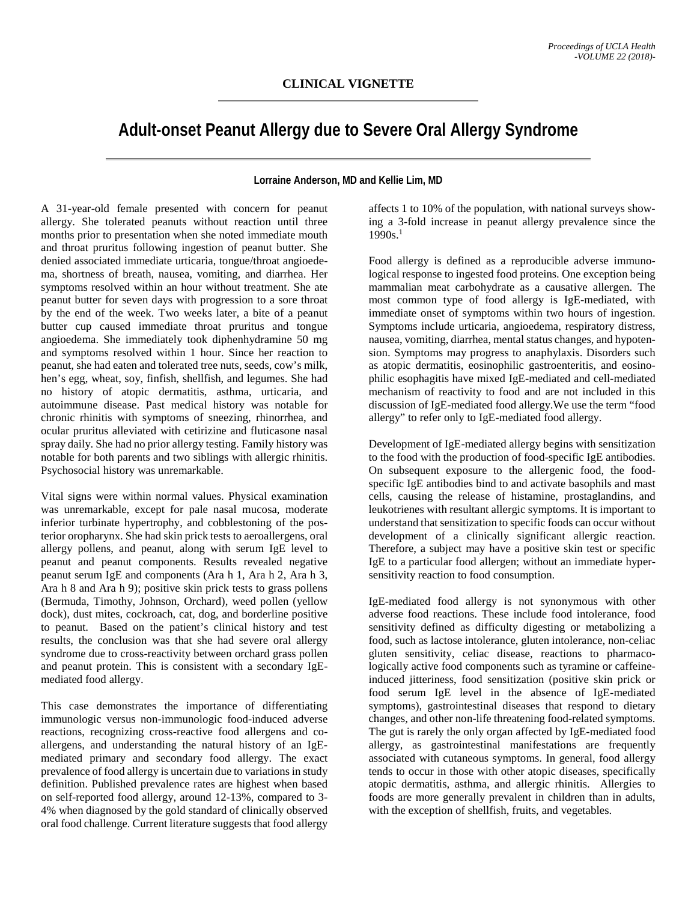## **Adult-onset Peanut Allergy due to Severe Oral Allergy Syndrome**

**Lorraine Anderson, MD and Kellie Lim, MD**

A 31-year-old female presented with concern for peanut allergy. She tolerated peanuts without reaction until three months prior to presentation when she noted immediate mouth and throat pruritus following ingestion of peanut butter. She denied associated immediate urticaria, tongue/throat angioedema, shortness of breath, nausea, vomiting, and diarrhea. Her symptoms resolved within an hour without treatment. She ate peanut butter for seven days with progression to a sore throat by the end of the week. Two weeks later, a bite of a peanut butter cup caused immediate throat pruritus and tongue angioedema. She immediately took diphenhydramine 50 mg and symptoms resolved within 1 hour. Since her reaction to peanut, she had eaten and tolerated tree nuts, seeds, cow's milk, hen's egg, wheat, soy, finfish, shellfish, and legumes. She had no history of atopic dermatitis, asthma, urticaria, and autoimmune disease. Past medical history was notable for chronic rhinitis with symptoms of sneezing, rhinorrhea, and ocular pruritus alleviated with cetirizine and fluticasone nasal spray daily. She had no prior allergy testing. Family history was notable for both parents and two siblings with allergic rhinitis. Psychosocial history was unremarkable.

Vital signs were within normal values. Physical examination was unremarkable, except for pale nasal mucosa, moderate inferior turbinate hypertrophy, and cobblestoning of the posterior oropharynx. She had skin prick tests to aeroallergens, oral allergy pollens, and peanut, along with serum IgE level to peanut and peanut components. Results revealed negative peanut serum IgE and components (Ara h 1, Ara h 2, Ara h 3, Ara h 8 and Ara h 9); positive skin prick tests to grass pollens (Bermuda, Timothy, Johnson, Orchard), weed pollen (yellow dock), dust mites, cockroach, cat, dog, and borderline positive to peanut. Based on the patient's clinical history and test results, the conclusion was that she had severe oral allergy syndrome due to cross-reactivity between orchard grass pollen and peanut protein. This is consistent with a secondary IgEmediated food allergy.

This case demonstrates the importance of differentiating immunologic versus non-immunologic food-induced adverse reactions, recognizing cross-reactive food allergens and coallergens, and understanding the natural history of an IgEmediated primary and secondary food allergy. The exact prevalence of food allergy is uncertain due to variations in study definition. Published prevalence rates are highest when based on self-reported food allergy, around 12-13%, compared to 3- 4% when diagnosed by the gold standard of clinically observed oral food challenge. Current literature suggests that food allergy

affects 1 to 10% of the population, with national surveys showing a 3-fold increase in peanut allergy prevalence since the  $1990s$ <sup>1</sup>

Food allergy is defined as a reproducible adverse immunological response to ingested food proteins. One exception being mammalian meat carbohydrate as a causative allergen. The most common type of food allergy is IgE-mediated, with immediate onset of symptoms within two hours of ingestion. Symptoms include urticaria, angioedema, respiratory distress, nausea, vomiting, diarrhea, mental status changes, and hypotension. Symptoms may progress to anaphylaxis. Disorders such as atopic dermatitis, eosinophilic gastroenteritis, and eosinophilic esophagitis have mixed IgE-mediated and cell-mediated mechanism of reactivity to food and are not included in this discussion of IgE-mediated food allergy.We use the term "food allergy" to refer only to IgE-mediated food allergy.

Development of IgE-mediated allergy begins with sensitization to the food with the production of food-specific IgE antibodies. On subsequent exposure to the allergenic food, the foodspecific IgE antibodies bind to and activate basophils and mast cells, causing the release of histamine, prostaglandins, and leukotrienes with resultant allergic symptoms. It is important to understand that sensitization to specific foods can occur without development of a clinically significant allergic reaction. Therefore, a subject may have a positive skin test or specific IgE to a particular food allergen; without an immediate hypersensitivity reaction to food consumption.

IgE-mediated food allergy is not synonymous with other adverse food reactions. These include food intolerance, food sensitivity defined as difficulty digesting or metabolizing a food, such as lactose intolerance, gluten intolerance, non-celiac gluten sensitivity, celiac disease, reactions to pharmacologically active food components such as tyramine or caffeineinduced jitteriness, food sensitization (positive skin prick or food serum IgE level in the absence of IgE-mediated symptoms), gastrointestinal diseases that respond to dietary changes, and other non-life threatening food-related symptoms. The gut is rarely the only organ affected by IgE-mediated food allergy, as gastrointestinal manifestations are frequently associated with cutaneous symptoms. In general, food allergy tends to occur in those with other atopic diseases, specifically atopic dermatitis, asthma, and allergic rhinitis. Allergies to foods are more generally prevalent in children than in adults, with the exception of shellfish, fruits, and vegetables.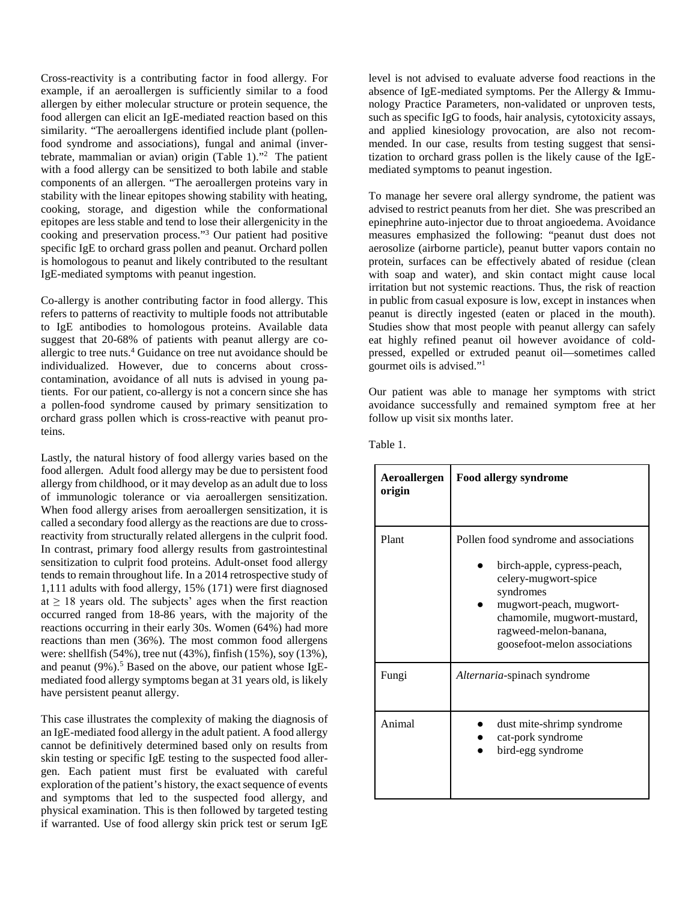Cross-reactivity is a contributing factor in food allergy. For example, if an aeroallergen is sufficiently similar to a food allergen by either molecular structure or protein sequence, the food allergen can elicit an IgE-mediated reaction based on this similarity. "The aeroallergens identified include plant (pollenfood syndrome and associations), fungal and animal (invertebrate, mammalian or avian) origin (Table 1)."2 The patient with a food allergy can be sensitized to both labile and stable components of an allergen. "The aeroallergen proteins vary in stability with the linear epitopes showing stability with heating, cooking, storage, and digestion while the conformational epitopes are less stable and tend to lose their allergenicity in the cooking and preservation process."3 Our patient had positive specific IgE to orchard grass pollen and peanut. Orchard pollen is homologous to peanut and likely contributed to the resultant IgE-mediated symptoms with peanut ingestion.

Co-allergy is another contributing factor in food allergy. This refers to patterns of reactivity to multiple foods not attributable to IgE antibodies to homologous proteins. Available data suggest that 20-68% of patients with peanut allergy are coallergic to tree nuts.4 Guidance on tree nut avoidance should be individualized. However, due to concerns about crosscontamination, avoidance of all nuts is advised in young patients. For our patient, co-allergy is not a concern since she has a pollen-food syndrome caused by primary sensitization to orchard grass pollen which is cross-reactive with peanut proteins.

Lastly, the natural history of food allergy varies based on the food allergen. Adult food allergy may be due to persistent food allergy from childhood, or it may develop as an adult due to loss of immunologic tolerance or via aeroallergen sensitization. When food allergy arises from aeroallergen sensitization, it is called a secondary food allergy as the reactions are due to crossreactivity from structurally related allergens in the culprit food. In contrast, primary food allergy results from gastrointestinal sensitization to culprit food proteins. Adult-onset food allergy tends to remain throughout life. In a 2014 retrospective study of 1,111 adults with food allergy, 15% (171) were first diagnosed at  $\geq$  18 years old. The subjects' ages when the first reaction occurred ranged from 18-86 years, with the majority of the reactions occurring in their early 30s. Women (64%) had more reactions than men (36%). The most common food allergens were: shellfish (54%), tree nut (43%), finfish (15%), soy (13%), and peanut  $(9\%)$ .<sup>5</sup> Based on the above, our patient whose IgEmediated food allergy symptoms began at 31 years old, is likely have persistent peanut allergy.

This case illustrates the complexity of making the diagnosis of an IgE-mediated food allergy in the adult patient. A food allergy cannot be definitively determined based only on results from skin testing or specific IgE testing to the suspected food allergen. Each patient must first be evaluated with careful exploration of the patient's history, the exact sequence of events and symptoms that led to the suspected food allergy, and physical examination. This is then followed by targeted testing if warranted. Use of food allergy skin prick test or serum IgE

level is not advised to evaluate adverse food reactions in the absence of IgE-mediated symptoms. Per the Allergy & Immunology Practice Parameters, non-validated or unproven tests, such as specific IgG to foods, hair analysis, cytotoxicity assays, and applied kinesiology provocation, are also not recommended. In our case, results from testing suggest that sensitization to orchard grass pollen is the likely cause of the IgEmediated symptoms to peanut ingestion.

To manage her severe oral allergy syndrome, the patient was advised to restrict peanuts from her diet. She was prescribed an epinephrine auto-injector due to throat angioedema. Avoidance measures emphasized the following: "peanut dust does not aerosolize (airborne particle), peanut butter vapors contain no protein, surfaces can be effectively abated of residue (clean with soap and water), and skin contact might cause local irritation but not systemic reactions. Thus, the risk of reaction in public from casual exposure is low, except in instances when peanut is directly ingested (eaten or placed in the mouth). Studies show that most people with peanut allergy can safely eat highly refined peanut oil however avoidance of coldpressed, expelled or extruded peanut oil—sometimes called gourmet oils is advised."1

Our patient was able to manage her symptoms with strict avoidance successfully and remained symptom free at her follow up visit six months later.

| Aeroallergen<br>origin | <b>Food allergy syndrome</b>                                                                                                                                                                                                 |
|------------------------|------------------------------------------------------------------------------------------------------------------------------------------------------------------------------------------------------------------------------|
| Plant                  | Pollen food syndrome and associations<br>birch-apple, cypress-peach,<br>celery-mugwort-spice<br>syndromes<br>mugwort-peach, mugwort-<br>chamomile, mugwort-mustard,<br>ragweed-melon-banana,<br>goosefoot-melon associations |
| Fungi                  | Alternaria-spinach syndrome                                                                                                                                                                                                  |
| Animal                 | dust mite-shrimp syndrome<br>cat-pork syndrome<br>bird-egg syndrome                                                                                                                                                          |

Table 1.